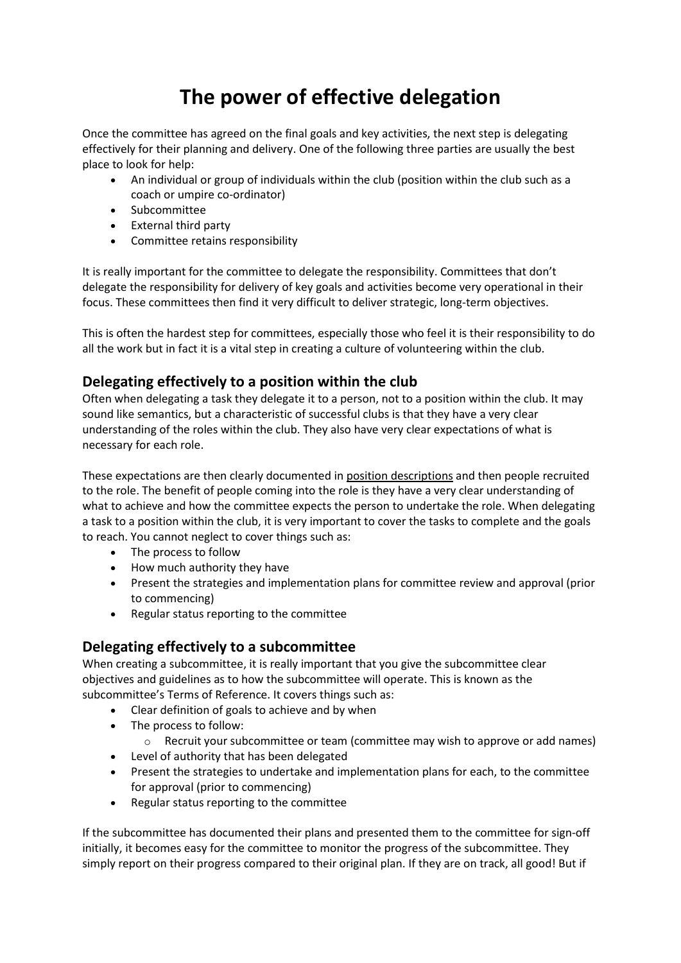## **The power of effective delegation**

Once the committee has agreed on the final goals and key activities, the next step is delegating effectively for their planning and delivery. One of the following three parties are usually the best place to look for help:

- An individual or group of individuals within the club (position within the club such as a coach or umpire co-ordinator)
- Subcommittee
- External third party
- Committee retains responsibility

It is really important for the committee to delegate the responsibility. Committees that don't delegate the responsibility for delivery of key goals and activities become very operational in their focus. These committees then find it very difficult to deliver strategic, long-term objectives.

This is often the hardest step for committees, especially those who feel it is their responsibility to do all the work but in fact it is a vital step in creating a culture of volunteering within the club.

## **Delegating effectively to a position within the club**

Often when delegating a task they delegate it to a person, not to a position within the club. It may sound like semantics, but a characteristic of successful clubs is that they have a very clear understanding of the roles within the club. They also have very clear expectations of what is necessary for each role.

These expectations are then clearly documented in position [descriptions](https://sportscommunity.com.au/position-descriptions/) and then people recruited to the role. The benefit of people coming into the role is they have a very clear understanding of what to achieve and how the committee expects the person to undertake the role. When delegating a task to a position within the club, it is very important to cover the tasks to complete and the goals to reach. You cannot neglect to cover things such as:

- The process to follow
- How much authority they have
- Present the strategies and implementation plans for committee review and approval (prior to commencing)
- Regular status reporting to the committee

## **Delegating effectively to a subcommittee**

When creating a subcommittee, it is really important that you give the subcommittee clear objectives and guidelines as to how the subcommittee will operate. This is known as the subcommittee's Terms of Reference. It covers things such as:

- Clear definition of goals to achieve and by when
- The process to follow:
	- o Recruit your subcommittee or team (committee may wish to approve or add names)
- Level of authority that has been delegated
- Present the strategies to undertake and implementation plans for each, to the committee for approval (prior to commencing)
- Regular status reporting to the committee

If the subcommittee has documented their plans and presented them to the committee for sign-off initially, it becomes easy for the committee to monitor the progress of the subcommittee. They simply report on their progress compared to their original plan. If they are on track, all good! But if